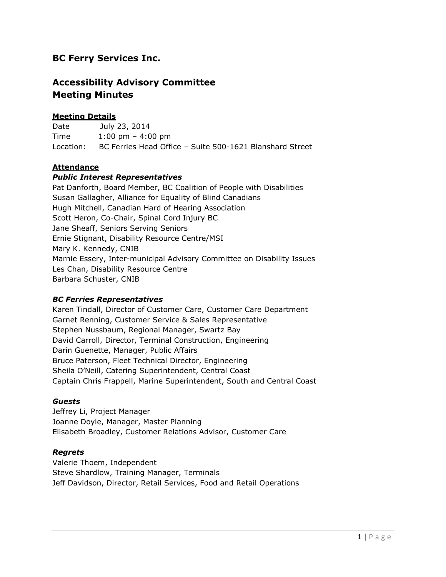# **BC Ferry Services Inc.**

# **Accessibility Advisory Committee Meeting Minutes**

## **Meeting Details**

Date July 23, 2014 Time 1:00 pm – 4:00 pm Location: BC Ferries Head Office – Suite 500-1621 Blanshard Street

## **Attendance**

#### *Public Interest Representatives*

Pat Danforth, Board Member, BC Coalition of People with Disabilities Susan Gallagher, Alliance for Equality of Blind Canadians Hugh Mitchell, Canadian Hard of Hearing Association Scott Heron, Co-Chair, Spinal Cord Injury BC Jane Sheaff, Seniors Serving Seniors Ernie Stignant, Disability Resource Centre/MSI Mary K. Kennedy, CNIB Marnie Essery, Inter-municipal Advisory Committee on Disability Issues Les Chan, Disability Resource Centre Barbara Schuster, CNIB

### *BC Ferries Representatives*

Karen Tindall, Director of Customer Care, Customer Care Department Garnet Renning, Customer Service & Sales Representative Stephen Nussbaum, Regional Manager, Swartz Bay David Carroll, Director, Terminal Construction, Engineering Darin Guenette, Manager, Public Affairs Bruce Paterson, Fleet Technical Director, Engineering Sheila O'Neill, Catering Superintendent, Central Coast Captain Chris Frappell, Marine Superintendent, South and Central Coast

#### *Guests*

Jeffrey Li, Project Manager Joanne Doyle, Manager, Master Planning Elisabeth Broadley, Customer Relations Advisor, Customer Care

### *Regrets*

Valerie Thoem, Independent Steve Shardlow, Training Manager, Terminals Jeff Davidson, Director, Retail Services, Food and Retail Operations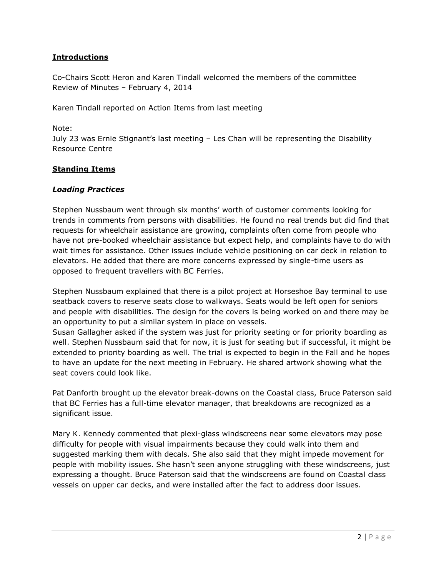### **Introductions**

Co-Chairs Scott Heron and Karen Tindall welcomed the members of the committee Review of Minutes – February 4, 2014

Karen Tindall reported on Action Items from last meeting

Note:

July 23 was Ernie Stignant's last meeting – Les Chan will be representing the Disability Resource Centre

#### **Standing Items**

#### *Loading Practices*

Stephen Nussbaum went through six months' worth of customer comments looking for trends in comments from persons with disabilities. He found no real trends but did find that requests for wheelchair assistance are growing, complaints often come from people who have not pre-booked wheelchair assistance but expect help, and complaints have to do with wait times for assistance. Other issues include vehicle positioning on car deck in relation to elevators. He added that there are more concerns expressed by single-time users as opposed to frequent travellers with BC Ferries.

Stephen Nussbaum explained that there is a pilot project at Horseshoe Bay terminal to use seatback covers to reserve seats close to walkways. Seats would be left open for seniors and people with disabilities. The design for the covers is being worked on and there may be an opportunity to put a similar system in place on vessels.

Susan Gallagher asked if the system was just for priority seating or for priority boarding as well. Stephen Nussbaum said that for now, it is just for seating but if successful, it might be extended to priority boarding as well. The trial is expected to begin in the Fall and he hopes to have an update for the next meeting in February. He shared artwork showing what the seat covers could look like.

Pat Danforth brought up the elevator break-downs on the Coastal class, Bruce Paterson said that BC Ferries has a full-time elevator manager, that breakdowns are recognized as a significant issue.

Mary K. Kennedy commented that plexi-glass windscreens near some elevators may pose difficulty for people with visual impairments because they could walk into them and suggested marking them with decals. She also said that they might impede movement for people with mobility issues. She hasn't seen anyone struggling with these windscreens, just expressing a thought. Bruce Paterson said that the windscreens are found on Coastal class vessels on upper car decks, and were installed after the fact to address door issues.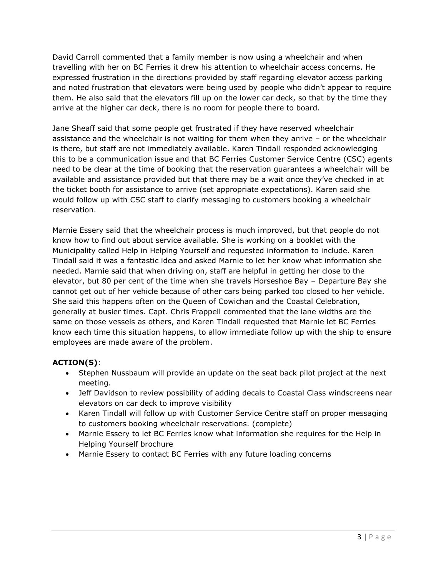David Carroll commented that a family member is now using a wheelchair and when travelling with her on BC Ferries it drew his attention to wheelchair access concerns. He expressed frustration in the directions provided by staff regarding elevator access parking and noted frustration that elevators were being used by people who didn't appear to require them. He also said that the elevators fill up on the lower car deck, so that by the time they arrive at the higher car deck, there is no room for people there to board.

Jane Sheaff said that some people get frustrated if they have reserved wheelchair assistance and the wheelchair is not waiting for them when they arrive – or the wheelchair is there, but staff are not immediately available. Karen Tindall responded acknowledging this to be a communication issue and that BC Ferries Customer Service Centre (CSC) agents need to be clear at the time of booking that the reservation guarantees a wheelchair will be available and assistance provided but that there may be a wait once they've checked in at the ticket booth for assistance to arrive (set appropriate expectations). Karen said she would follow up with CSC staff to clarify messaging to customers booking a wheelchair reservation.

Marnie Essery said that the wheelchair process is much improved, but that people do not know how to find out about service available. She is working on a booklet with the Municipality called Help in Helping Yourself and requested information to include. Karen Tindall said it was a fantastic idea and asked Marnie to let her know what information she needed. Marnie said that when driving on, staff are helpful in getting her close to the elevator, but 80 per cent of the time when she travels Horseshoe Bay – Departure Bay she cannot get out of her vehicle because of other cars being parked too closed to her vehicle. She said this happens often on the Queen of Cowichan and the Coastal Celebration, generally at busier times. Capt. Chris Frappell commented that the lane widths are the same on those vessels as others, and Karen Tindall requested that Marnie let BC Ferries know each time this situation happens, to allow immediate follow up with the ship to ensure employees are made aware of the problem.

# **ACTION(S)**:

- Stephen Nussbaum will provide an update on the seat back pilot project at the next meeting.
- Jeff Davidson to review possibility of adding decals to Coastal Class windscreens near elevators on car deck to improve visibility
- Karen Tindall will follow up with Customer Service Centre staff on proper messaging to customers booking wheelchair reservations. (complete)
- Marnie Essery to let BC Ferries know what information she requires for the Help in Helping Yourself brochure
- Marnie Essery to contact BC Ferries with any future loading concerns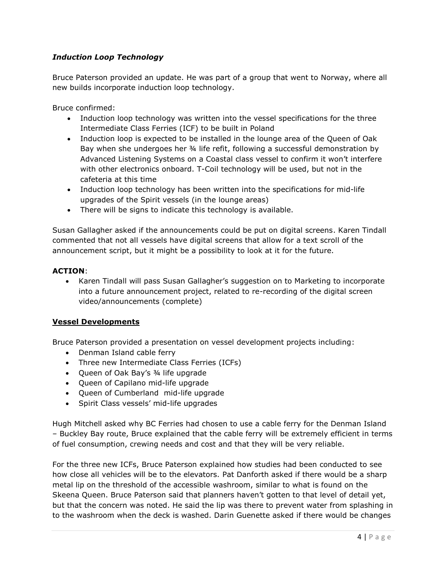## *Induction Loop Technology*

Bruce Paterson provided an update. He was part of a group that went to Norway, where all new builds incorporate induction loop technology.

Bruce confirmed:

- Induction loop technology was written into the vessel specifications for the three Intermediate Class Ferries (ICF) to be built in Poland
- Induction loop is expected to be installed in the lounge area of the Queen of Oak Bay when she undergoes her ¾ life refit, following a successful demonstration by Advanced Listening Systems on a Coastal class vessel to confirm it won't interfere with other electronics onboard. T-Coil technology will be used, but not in the cafeteria at this time
- Induction loop technology has been written into the specifications for mid-life upgrades of the Spirit vessels (in the lounge areas)
- There will be signs to indicate this technology is available.

Susan Gallagher asked if the announcements could be put on digital screens. Karen Tindall commented that not all vessels have digital screens that allow for a text scroll of the announcement script, but it might be a possibility to look at it for the future.

#### **ACTION**:

• Karen Tindall will pass Susan Gallagher's suggestion on to Marketing to incorporate into a future announcement project, related to re-recording of the digital screen video/announcements (complete)

#### **Vessel Developments**

Bruce Paterson provided a presentation on vessel development projects including:

- Denman Island cable ferry
- Three new Intermediate Class Ferries (ICFs)
- Queen of Oak Bay's 3/4 life upgrade
- Queen of Capilano mid-life upgrade
- Queen of Cumberland mid-life upgrade
- Spirit Class vessels' mid-life upgrades

Hugh Mitchell asked why BC Ferries had chosen to use a cable ferry for the Denman Island – Buckley Bay route, Bruce explained that the cable ferry will be extremely efficient in terms of fuel consumption, crewing needs and cost and that they will be very reliable.

For the three new ICFs, Bruce Paterson explained how studies had been conducted to see how close all vehicles will be to the elevators. Pat Danforth asked if there would be a sharp metal lip on the threshold of the accessible washroom, similar to what is found on the Skeena Queen. Bruce Paterson said that planners haven't gotten to that level of detail yet, but that the concern was noted. He said the lip was there to prevent water from splashing in to the washroom when the deck is washed. Darin Guenette asked if there would be changes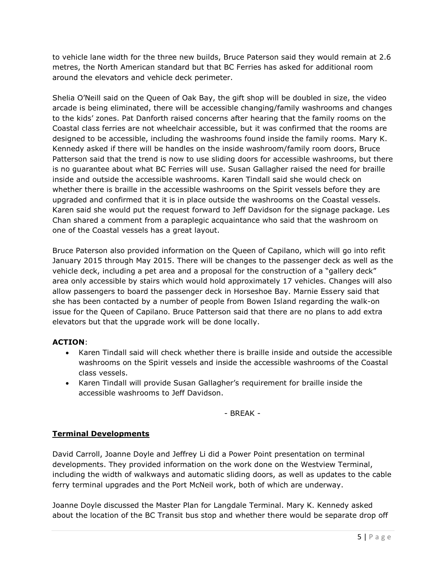to vehicle lane width for the three new builds, Bruce Paterson said they would remain at 2.6 metres, the North American standard but that BC Ferries has asked for additional room around the elevators and vehicle deck perimeter.

Shelia O'Neill said on the Queen of Oak Bay, the gift shop will be doubled in size, the video arcade is being eliminated, there will be accessible changing/family washrooms and changes to the kids' zones. Pat Danforth raised concerns after hearing that the family rooms on the Coastal class ferries are not wheelchair accessible, but it was confirmed that the rooms are designed to be accessible, including the washrooms found inside the family rooms. Mary K. Kennedy asked if there will be handles on the inside washroom/family room doors, Bruce Patterson said that the trend is now to use sliding doors for accessible washrooms, but there is no guarantee about what BC Ferries will use. Susan Gallagher raised the need for braille inside and outside the accessible washrooms. Karen Tindall said she would check on whether there is braille in the accessible washrooms on the Spirit vessels before they are upgraded and confirmed that it is in place outside the washrooms on the Coastal vessels. Karen said she would put the request forward to Jeff Davidson for the signage package. Les Chan shared a comment from a paraplegic acquaintance who said that the washroom on one of the Coastal vessels has a great layout.

Bruce Paterson also provided information on the Queen of Capilano, which will go into refit January 2015 through May 2015. There will be changes to the passenger deck as well as the vehicle deck, including a pet area and a proposal for the construction of a "gallery deck" area only accessible by stairs which would hold approximately 17 vehicles. Changes will also allow passengers to board the passenger deck in Horseshoe Bay. Marnie Essery said that she has been contacted by a number of people from Bowen Island regarding the walk-on issue for the Queen of Capilano. Bruce Patterson said that there are no plans to add extra elevators but that the upgrade work will be done locally.

# **ACTION**:

- Karen Tindall said will check whether there is braille inside and outside the accessible washrooms on the Spirit vessels and inside the accessible washrooms of the Coastal class vessels.
- Karen Tindall will provide Susan Gallagher's requirement for braille inside the accessible washrooms to Jeff Davidson.

- BREAK -

### **Terminal Developments**

David Carroll, Joanne Doyle and Jeffrey Li did a Power Point presentation on terminal developments. They provided information on the work done on the Westview Terminal, including the width of walkways and automatic sliding doors, as well as updates to the cable ferry terminal upgrades and the Port McNeil work, both of which are underway.

Joanne Doyle discussed the Master Plan for Langdale Terminal. Mary K. Kennedy asked about the location of the BC Transit bus stop and whether there would be separate drop off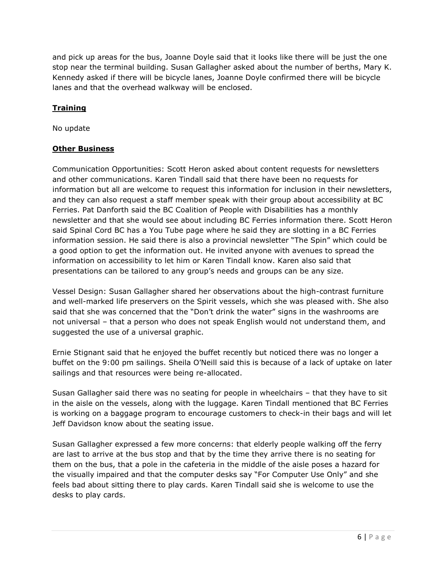and pick up areas for the bus, Joanne Doyle said that it looks like there will be just the one stop near the terminal building. Susan Gallagher asked about the number of berths, Mary K. Kennedy asked if there will be bicycle lanes, Joanne Doyle confirmed there will be bicycle lanes and that the overhead walkway will be enclosed.

# **Training**

No update

## **Other Business**

Communication Opportunities: Scott Heron asked about content requests for newsletters and other communications. Karen Tindall said that there have been no requests for information but all are welcome to request this information for inclusion in their newsletters, and they can also request a staff member speak with their group about accessibility at BC Ferries. Pat Danforth said the BC Coalition of People with Disabilities has a monthly newsletter and that she would see about including BC Ferries information there. Scott Heron said Spinal Cord BC has a You Tube page where he said they are slotting in a BC Ferries information session. He said there is also a provincial newsletter "The Spin" which could be a good option to get the information out. He invited anyone with avenues to spread the information on accessibility to let him or Karen Tindall know. Karen also said that presentations can be tailored to any group's needs and groups can be any size.

Vessel Design: Susan Gallagher shared her observations about the high-contrast furniture and well-marked life preservers on the Spirit vessels, which she was pleased with. She also said that she was concerned that the "Don't drink the water" signs in the washrooms are not universal – that a person who does not speak English would not understand them, and suggested the use of a universal graphic.

Ernie Stignant said that he enjoyed the buffet recently but noticed there was no longer a buffet on the 9:00 pm sailings. Sheila O'Neill said this is because of a lack of uptake on later sailings and that resources were being re-allocated.

Susan Gallagher said there was no seating for people in wheelchairs – that they have to sit in the aisle on the vessels, along with the luggage. Karen Tindall mentioned that BC Ferries is working on a baggage program to encourage customers to check-in their bags and will let Jeff Davidson know about the seating issue.

Susan Gallagher expressed a few more concerns: that elderly people walking off the ferry are last to arrive at the bus stop and that by the time they arrive there is no seating for them on the bus, that a pole in the cafeteria in the middle of the aisle poses a hazard for the visually impaired and that the computer desks say "For Computer Use Only" and she feels bad about sitting there to play cards. Karen Tindall said she is welcome to use the desks to play cards.